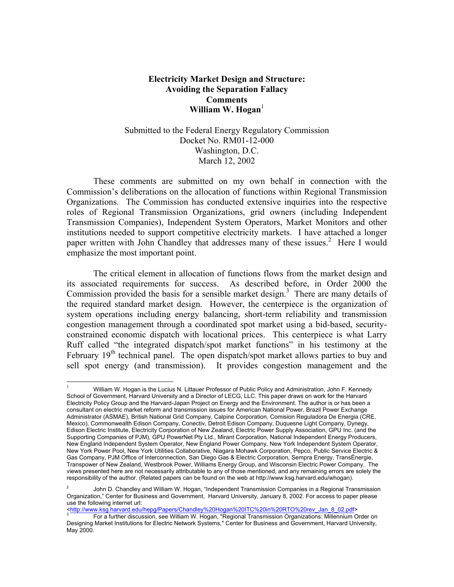## **Electricity Market Design and Structure: Avoiding the Separation Fallacy Comments**  William W. Hogan<sup>[1](#page-0-0)</sup>

## Submitted to the Federal Energy Regulatory Commission Docket No. RM01-12-000 Washington, D.C. March 12, 2002

 These comments are submitted on my own behalf in connection with the Commission's deliberations on the allocation of functions within Regional Transmission Organizations. The Commission has conducted extensive inquiries into the respective roles of Regional Transmission Organizations, grid owners (including Independent Transmission Companies), Independent System Operators, Market Monitors and other institutions needed to support competitive electricity markets. I have attached a longer paper written with John Chandley that addresses many of these issues.<sup>[2](#page-0-1)</sup> Here I would emphasize the most important point.

 The critical element in allocation of functions flows from the market design and its associated requirements for success. As described before, in Order 2000 the Commission provided the basis for a sensible market design. $3$  There are many details of the required standard market design. However, the centerpiece is the organization of system operations including energy balancing, short-term reliability and transmission congestion management through a coordinated spot market using a bid-based, securityconstrained economic dispatch with locational prices. This centerpiece is what Larry Ruff called "the integrated dispatch/spot market functions" in his testimony at the February  $19<sup>th</sup>$  technical panel. The open dispatch/spot market allows parties to buy and sell spot energy (and transmission). It provides congestion management and the

 $\overline{a}$ 

<http://www.ksg.harvard.edu/hepg/Papers/Chandley%20Hogan%20ITC%20in%20RTO%20rev\_Jan\_8\_02.pdf> 3

<span id="page-0-0"></span><sup>1</sup> William W. Hogan is the Lucius N. Littauer Professor of Public Policy and Administration, John F. Kennedy School of Government, Harvard University and a Director of LECG, LLC. This paper draws on work for the Harvard Electricity Policy Group and the Harvard-Japan Project on Energy and the Environment. The author is or has been a consultant on electric market reform and transmission issues for American National Power, Brazil Power Exchange Administrator (ASMAE), British National Grid Company, Calpine Corporation, Comision Reguladora De Energia (CRE, Mexico), Commonwealth Edison Company, Conectiv, Detroit Edison Company, Duquesne Light Company, Dynegy, Edison Electric Institute, Electricity Corporation of New Zealand, Electric Power Supply Association, GPU Inc. (and the Supporting Companies of PJM), GPU PowerNet Pty Ltd., Mirant Corporation, National Independent Energy Producers, New England Independent System Operator, New England Power Company, New York Independent System Operator, New York Power Pool, New York Utilities Collaborative, Niagara Mohawk Corporation, Pepco, Public Service Electric & Gas Company, PJM Office of Interconnection, San Diego Gas & Electric Corporation, Sempra Energy, TransÉnergie, Transpower of New Zealand, Westbrook Power, Williams Energy Group, and Wisconsin Electric Power Company. The views presented here are not necessarily attributable to any of those mentioned, and any remaining errors are solely the responsibility of the author. (Related papers can be found on the web at http://www.ksg.harvard.edu/whogan).

<span id="page-0-1"></span><sup>2</sup> John D. Chandley and William W. Hogan, "Independent Transmission Companies in a Regional Transmission Organization," Center for Business and Government, Harvard University, January 8, 2002. For access to paper please use the following internet url:

<span id="page-0-2"></span>For a further discussion, see William W. Hogan, "Regional Transmission Organizations: Millennium Order on Designing Market Institutions for Electric Network Systems," Center for Business and Government, Harvard University, May 2000.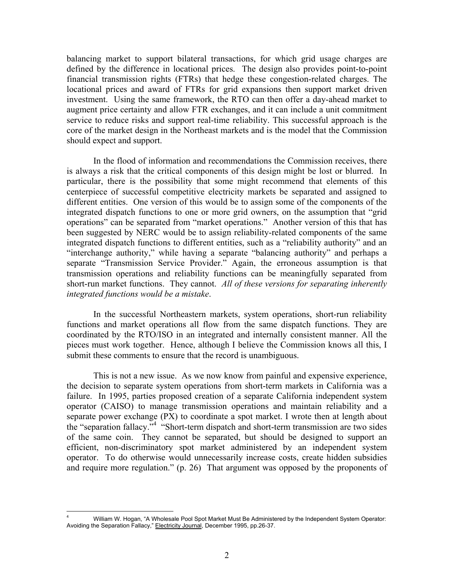balancing market to support bilateral transactions, for which grid usage charges are defined by the difference in locational prices. The design also provides point-to-point financial transmission rights (FTRs) that hedge these congestion-related charges. The locational prices and award of FTRs for grid expansions then support market driven investment. Using the same framework, the RTO can then offer a day-ahead market to augment price certainty and allow FTR exchanges, and it can include a unit commitment service to reduce risks and support real-time reliability. This successful approach is the core of the market design in the Northeast markets and is the model that the Commission should expect and support.

In the flood of information and recommendations the Commission receives, there is always a risk that the critical components of this design might be lost or blurred. In particular, there is the possibility that some might recommend that elements of this centerpiece of successful competitive electricity markets be separated and assigned to different entities. One version of this would be to assign some of the components of the integrated dispatch functions to one or more grid owners, on the assumption that "grid operations" can be separated from "market operations." Another version of this that has been suggested by NERC would be to assign reliability-related components of the same integrated dispatch functions to different entities, such as a "reliability authority" and an "interchange authority," while having a separate "balancing authority" and perhaps a separate "Transmission Service Provider." Again, the erroneous assumption is that transmission operations and reliability functions can be meaningfully separated from short-run market functions. They cannot. *All of these versions for separating inherently integrated functions would be a mistake*.

In the successful Northeastern markets, system operations, short-run reliability functions and market operations all flow from the same dispatch functions. They are coordinated by the RTO/ISO in an integrated and internally consistent manner. All the pieces must work together. Hence, although I believe the Commission knows all this, I submit these comments to ensure that the record is unambiguous.

This is not a new issue. As we now know from painful and expensive experience, the decision to separate system operations from short-term markets in California was a failure. In 1995, parties proposed creation of a separate California independent system operator (CAISO) to manage transmission operations and maintain reliability and a separate power exchange (PX) to coordinate a spot market. I wrote then at length about the "separation fallacy."<sup>4</sup> "Short-term dispatch and short-term transmission are two sides of the same coin. They cannot be separated, but should be designed to support an efficient, non-discriminatory spot market administered by an independent system operator. To do otherwise would unnecessarily increase costs, create hidden subsidies and require more regulation." (p. 26) That argument was opposed by the proponents of

<span id="page-1-0"></span><sup>1</sup> 4 William W. Hogan, "A Wholesale Pool Spot Market Must Be Administered by the Independent System Operator: Avoiding the Separation Fallacy," Electricity Journal, December 1995, pp.26-37.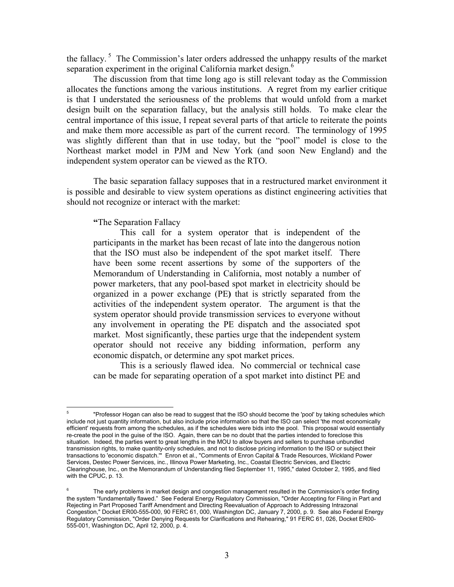the fallacy.<sup>5</sup> The Commission's later orders addressed the unhappy results of the market separation experiment in the original California market design.<sup>[6](#page-2-1)</sup>

The discussion from that time long ago is still relevant today as the Commission allocates the functions among the various institutions. A regret from my earlier critique is that I understated the seriousness of the problems that would unfold from a market design built on the separation fallacy, but the analysis still holds. To make clear the central importance of this issue, I repeat several parts of that article to reiterate the points and make them more accessible as part of the current record. The terminology of 1995 was slightly different than that in use today, but the "pool" model is close to the Northeast market model in PJM and New York (and soon New England) and the independent system operator can be viewed as the RTO.

The basic separation fallacy supposes that in a restructured market environment it is possible and desirable to view system operations as distinct engineering activities that should not recognize or interact with the market:

**"**The Separation Fallacy

This call for a system operator that is independent of the participants in the market has been recast of late into the dangerous notion that the ISO must also be independent of the spot market itself. There have been some recent assertions by some of the supporters of the Memorandum of Understanding in California, most notably a number of power marketers, that any pool-based spot market in electricity should be organized in a power exchange (PE**)** that is strictly separated from the activities of the independent system operator. The argument is that the system operator should provide transmission services to everyone without any involvement in operating the PE dispatch and the associated spot market. Most significantly, these parties urge that the independent system operator should not receive any bidding information, perform any economic dispatch, or determine any spot market prices.

This is a seriously flawed idea. No commercial or technical case can be made for separating operation of a spot market into distinct PE and

<span id="page-2-0"></span><sup>5</sup> <sup>5</sup> "Professor Hogan can also be read to suggest that the ISO should become the 'pool' by taking schedules which include not just quantity information, but also include price information so that the ISO can select 'the most economically efficient' requests from among the schedules, as if the schedules were bids into the pool. This proposal would essentially re-create the pool in the guise of the ISO. Again, there can be no doubt that the parties intended to foreclose this situation. Indeed, the parties went to great lengths in the MOU to allow buyers and sellers to purchase unbundled transmission rights, to make quantity-only schedules, and not to disclose pricing information to the ISO or subject their transactions to 'economic dispatch.'" Enron et al., "Comments of Enron Capital & Trade Resources, Wickland Power Services, Destec Power Services, inc., Illinova Power Marketing, Inc., Coastal Electric Services, and Electric Clearinghouse, Inc., on the Memorandum of Understanding filed September 11, 1995," dated October 2, 1995, and filed with the CPUC, p. 13.

<span id="page-2-1"></span><sup>6</sup> The early problems in market design and congestion management resulted in the Commission's order finding the system "fundamentally flawed." See Federal Energy Regulatory Commission, "Order Accepting for Filing in Part and Rejecting in Part Proposed Tariff Amendment and Directing Reevaluation of Approach to Addressing Intrazonal Congestion," Docket ER00-555-000, 90 FERC 61, 000, Washington DC, January 7, 2000, p. 9. See also Federal Energy Regulatory Commission, "Order Denying Requests for Clarifications and Rehearing," 91 FERC 61, 026, Docket ER00- 555-001, Washington DC, April 12, 2000, p. 4.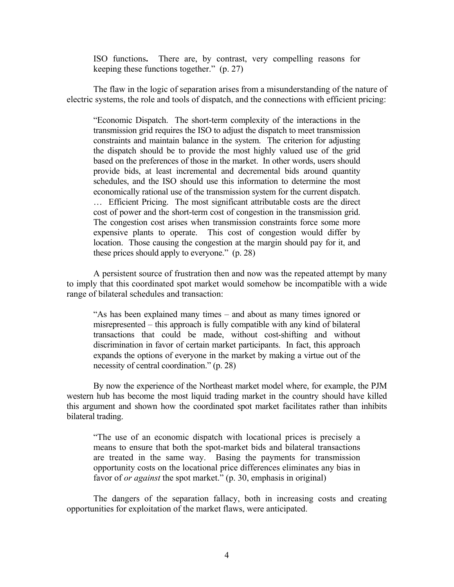ISO functions**.** There are, by contrast, very compelling reasons for keeping these functions together." (p. 27)

The flaw in the logic of separation arises from a misunderstanding of the nature of electric systems, the role and tools of dispatch, and the connections with efficient pricing:

"Economic Dispatch. The short-term complexity of the interactions in the transmission grid requires the ISO to adjust the dispatch to meet transmission constraints and maintain balance in the system. The criterion for adjusting the dispatch should be to provide the most highly valued use of the grid based on the preferences of those in the market. In other words, users should provide bids, at least incremental and decremental bids around quantity schedules, and the ISO should use this information to determine the most economically rational use of the transmission system for the current dispatch. … Efficient Pricing. The most significant attributable costs are the direct cost of power and the short-term cost of congestion in the transmission grid. The congestion cost arises when transmission constraints force some more expensive plants to operate. This cost of congestion would differ by location. Those causing the congestion at the margin should pay for it, and these prices should apply to everyone." (p. 28)

A persistent source of frustration then and now was the repeated attempt by many to imply that this coordinated spot market would somehow be incompatible with a wide range of bilateral schedules and transaction:

"As has been explained many times – and about as many times ignored or misrepresented – this approach is fully compatible with any kind of bilateral transactions that could be made, without cost-shifting and without discrimination in favor of certain market participants. In fact, this approach expands the options of everyone in the market by making a virtue out of the necessity of central coordination." (p. 28)

By now the experience of the Northeast market model where, for example, the PJM western hub has become the most liquid trading market in the country should have killed this argument and shown how the coordinated spot market facilitates rather than inhibits bilateral trading.

"The use of an economic dispatch with locational prices is precisely a means to ensure that both the spot-market bids and bilateral transactions are treated in the same way. Basing the payments for transmission opportunity costs on the locational price differences eliminates any bias in favor of *or against* the spot market." (p. 30, emphasis in original)

The dangers of the separation fallacy, both in increasing costs and creating opportunities for exploitation of the market flaws, were anticipated.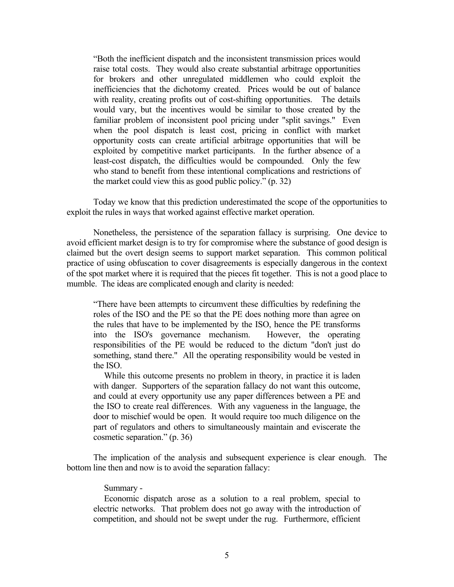"Both the inefficient dispatch and the inconsistent transmission prices would raise total costs. They would also create substantial arbitrage opportunities for brokers and other unregulated middlemen who could exploit the inefficiencies that the dichotomy created. Prices would be out of balance with reality, creating profits out of cost-shifting opportunities. The details would vary, but the incentives would be similar to those created by the familiar problem of inconsistent pool pricing under "split savings." Even when the pool dispatch is least cost, pricing in conflict with market opportunity costs can create artificial arbitrage opportunities that will be exploited by competitive market participants. In the further absence of a least-cost dispatch, the difficulties would be compounded. Only the few who stand to benefit from these intentional complications and restrictions of the market could view this as good public policy." (p. 32)

Today we know that this prediction underestimated the scope of the opportunities to exploit the rules in ways that worked against effective market operation.

Nonetheless, the persistence of the separation fallacy is surprising. One device to avoid efficient market design is to try for compromise where the substance of good design is claimed but the overt design seems to support market separation. This common political practice of using obfuscation to cover disagreements is especially dangerous in the context of the spot market where it is required that the pieces fit together. This is not a good place to mumble. The ideas are complicated enough and clarity is needed:

"There have been attempts to circumvent these difficulties by redefining the roles of the ISO and the PE so that the PE does nothing more than agree on the rules that have to be implemented by the ISO, hence the PE transforms into the ISO's governance mechanism. However, the operating into the ISO's governance mechanism. responsibilities of the PE would be reduced to the dictum "don't just do something, stand there." All the operating responsibility would be vested in the ISO.

While this outcome presents no problem in theory, in practice it is laden with danger. Supporters of the separation fallacy do not want this outcome, and could at every opportunity use any paper differences between a PE and the ISO to create real differences. With any vagueness in the language, the door to mischief would be open. It would require too much diligence on the part of regulators and others to simultaneously maintain and eviscerate the cosmetic separation." (p. 36)

The implication of the analysis and subsequent experience is clear enough. The bottom line then and now is to avoid the separation fallacy:

## Summary -

Economic dispatch arose as a solution to a real problem, special to electric networks. That problem does not go away with the introduction of competition, and should not be swept under the rug. Furthermore, efficient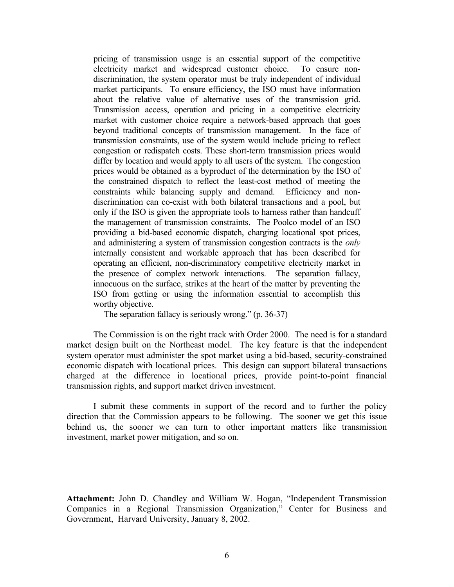pricing of transmission usage is an essential support of the competitive electricity market and widespread customer choice. To ensure nondiscrimination, the system operator must be truly independent of individual market participants. To ensure efficiency, the ISO must have information about the relative value of alternative uses of the transmission grid. Transmission access, operation and pricing in a competitive electricity market with customer choice require a network-based approach that goes beyond traditional concepts of transmission management. In the face of transmission constraints, use of the system would include pricing to reflect congestion or redispatch costs. These short-term transmission prices would differ by location and would apply to all users of the system. The congestion prices would be obtained as a byproduct of the determination by the ISO of the constrained dispatch to reflect the least-cost method of meeting the constraints while balancing supply and demand. Efficiency and nondiscrimination can co-exist with both bilateral transactions and a pool, but only if the ISO is given the appropriate tools to harness rather than handcuff the management of transmission constraints. The Poolco model of an ISO providing a bid-based economic dispatch, charging locational spot prices, and administering a system of transmission congestion contracts is the *only* internally consistent and workable approach that has been described for operating an efficient, non-discriminatory competitive electricity market in the presence of complex network interactions. The separation fallacy, innocuous on the surface, strikes at the heart of the matter by preventing the ISO from getting or using the information essential to accomplish this worthy objective.

The separation fallacy is seriously wrong." (p. 36-37)

The Commission is on the right track with Order 2000. The need is for a standard market design built on the Northeast model. The key feature is that the independent system operator must administer the spot market using a bid-based, security-constrained economic dispatch with locational prices. This design can support bilateral transactions charged at the difference in locational prices, provide point-to-point financial transmission rights, and support market driven investment.

I submit these comments in support of the record and to further the policy direction that the Commission appears to be following. The sooner we get this issue behind us, the sooner we can turn to other important matters like transmission investment, market power mitigation, and so on.

**Attachment:** John D. Chandley and William W. Hogan, "Independent Transmission Companies in a Regional Transmission Organization," Center for Business and Government, Harvard University, January 8, 2002.